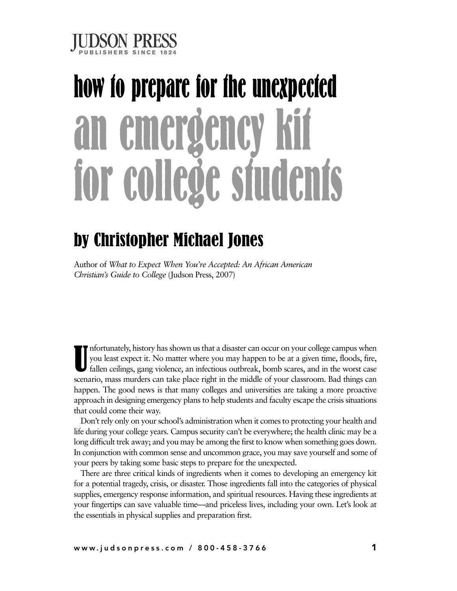

# **how to prepare for the unexpected an emergency kit for college students**

## by Christopher Michael Jones

Author of *What to Expect When You're Accepted: An African American Christian's Guide to College* (Judson Press, 2007)

U nfortunately, history hasshown usthat a disaster can occur on your college campus when you least expect it. No matter where you may happen to be at a given time, floods, fire, fallen ceilings, gang violence, an infectious outbreak, bomb scares, and in the worst case scenario, mass murders can take place right in the middle of your classroom. Bad things can happen. The good news is that many colleges and universities are taking a more proactive approach in designing emergency plans to help students and faculty escape the crisis situations that could come their way.

Don't rely only on your school's administration when it comes to protecting your health and life during your college years. Campus security can't be everywhere; the health clinic may be a long difficult trek away; and you may be among the first to know when something goes down. In conjunction with common sense and uncommon grace, you may save yourself and some of your peers by taking some basic steps to prepare for the unexpected.

There are three critical kinds of ingredients when it comes to developing an emergency kit for a potential tragedy, crisis, or disaster. Those ingredients fall into the categories of physical supplies, emergency response information, and spiritual resources. Having these ingredients at your fingertips can save valuable time—and priceless lives, including your own. Let's look at the essentials in physical supplies and preparation first.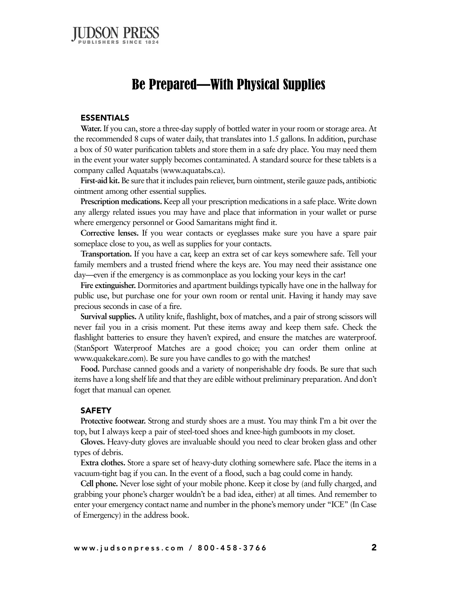

## Be Prepared—With Physical Supplies

#### **ESSENTIALS**

**Water.** If you can, store a three-day supply of bottled water in your room or storage area. At the recommended 8 cups of water daily, that translates into 1.5 gallons. In addition, purchase a box of 50 water purification tablets and store them in a safe dry place. You may need them in the event your water supply becomes contaminated. A standard source for these tablets is a company called Aquatabs (www.aquatabs.ca).

**First-aid kit.** Be sure that it includes pain reliever, burn ointment, sterile gauze pads, antibiotic ointment among other essential supplies.

**Prescription medications.** Keep all your prescription medicationsin a safe place. Write down any allergy related issues you may have and place that information in your wallet or purse where emergency personnel or Good Samaritans might find it.

**Corrective lenses.** If you wear contacts or eyeglasses make sure you have a spare pair someplace close to you, as well as supplies for your contacts.

**Transportation.** If you have a car, keep an extra set of car keys somewhere safe. Tell your family members and a trusted friend where the keys are. You may need their assistance one day—even if the emergency is as commonplace as you locking your keys in the car!

**Fire extinguisher.** Dormitories and apartment buildingstypically have one in the hallway for public use, but purchase one for your own room or rental unit. Having it handy may save precious seconds in case of a fire.

**Survival supplies.** A utility knife, flashlight, box of matches, and a pair of strong scissors will never fail you in a crisis moment. Put these items away and keep them safe. Check the flashlight batteries to ensure they haven't expired, and ensure the matches are waterproof. (StanSport Waterproof Matches are a good choice; you can order them online at www.quakekare.com). Be sure you have candles to go with the matches!

**Food.** Purchase canned goods and a variety of nonperishable dry foods. Be sure that such items have a long shelf life and that they are edible without preliminary preparation. And don't foget that manual can opener.

#### **SAFETY**

**Protective footwear.** Strong and sturdy shoes are a must. You may think I'm a bit over the top, but I always keep a pair of steel-toed shoes and knee-high gumboots in my closet.

**Gloves.** Heavy-duty gloves are invaluable should you need to clear broken glass and other types of debris.

**Extra clothes.** Store a spare set of heavy-duty clothing somewhere safe. Place the items in a vacuum-tight bag if you can. In the event of a flood, such a bag could come in handy.

**Cell phone.** Never lose sight of your mobile phone. Keep it close by (and fully charged, and grabbing your phone's charger wouldn't be a bad idea, either) at all times. And remember to enter your emergency contact name and number in the phone's memory under "ICE" (In Case of Emergency) in the address book.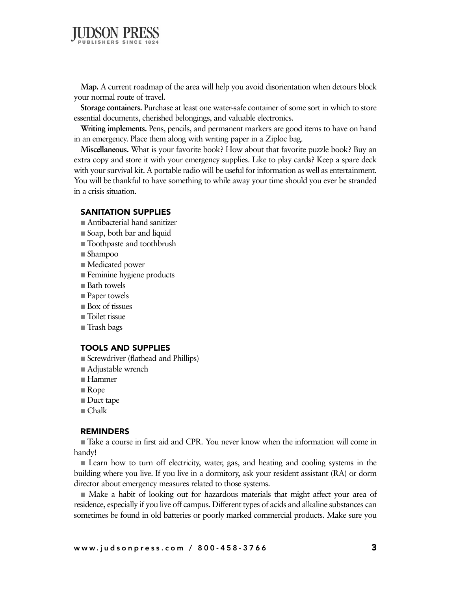

**Map.** A current roadmap of the area will help you avoid disorientation when detours block your normal route of travel.

**Storage containers.** Purchase at least one water-safe container of some sort in which to store essential documents, cherished belongings, and valuable electronics.

**Writing implements.** Pens, pencils, and permanent markers are good items to have on hand in an emergency. Place them along with writing paper in a Ziploc bag.

**Miscellaneous.** What is your favorite book? How about that favorite puzzle book? Buy an extra copy and store it with your emergency supplies. Like to play cards? Keep a spare deck with your survival kit. A portable radio will be useful for information as well as entertainment. You will be thankful to have something to while away your time should you ever be stranded in a crisis situation.

#### **SANITATION SUPPLIES**

- Antibacterial hand sanitizer
- **■** Soap, both bar and liquid
- Toothpaste and toothbrush
- Shampoo
- Medicated power
- **■** Feminine hygiene products
- Bath towels
- Paper towels
- Box of tissues
- Toilet tissue
- **■** Trash bags

#### **TOOLS AND SUPPLIES**

- **■** Screwdriver (flathead and Phillips)
- Adjustable wrench
- **■** Hammer
- Rope
- Duct tape
- **■** Chalk

#### **REMINDERS**

■ Take a course in first aid and CPR. You never know when the information will come in handy!

■ Learn how to turn off electricity, water, gas, and heating and cooling systems in the building where you live. If you live in a dormitory, ask your resident assistant (RA) or dorm director about emergency measures related to those systems.

■ Make a habit of looking out for hazardous materials that might affect your area of residence, especially if you live off campus. Different types of acids and alkaline substances can sometimes be found in old batteries or poorly marked commercial products. Make sure you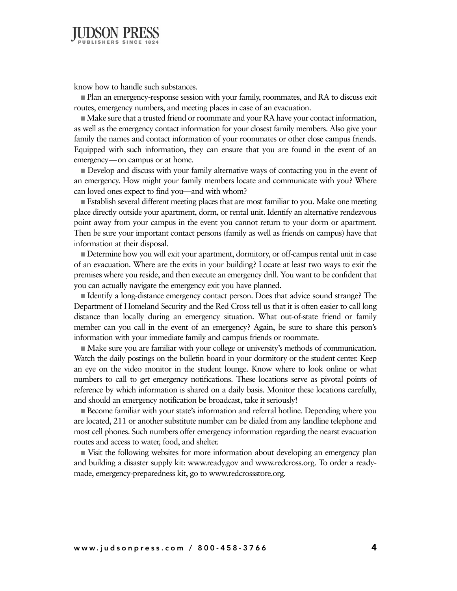

know how to handle such substances.

■ Plan an emergency-response session with your family, roommates, and RA to discuss exit routes, emergency numbers, and meeting places in case of an evacuation.

■ Make sure that a trusted friend or roommate and your RA have your contact information, as well as the emergency contact information for your closest family members. Also give your family the names and contact information of your roommates or other close campus friends. Equipped with such information, they can ensure that you are found in the event of an emergency—on campus or at home.

**■** Develop and discuss with your family alternative ways of contacting you in the event of an emergency. How might your family members locate and communicate with you? Where can loved ones expect to find you—and with whom?

**Establish several different meeting places that are most familiar to you. Make one meeting** place directly outside your apartment, dorm, or rental unit. Identify an alternative rendezvous point away from your campus in the event you cannot return to your dorm or apartment. Then be sure your important contact persons (family as well as friends on campus) have that information at their disposal.

**■** Determine how you will exit your apartment, dormitory, or off-campus rental unit in case of an evacuation. Where are the exits in your building? Locate at least two ways to exit the premises where you reside, and then execute an emergency drill. You want to be confident that you can actually navigate the emergency exit you have planned.

**■** Identify a long-distance emergency contact person. Does that advice sound strange? The Department of Homeland Security and the Red Cross tell us that it is often easier to call long distance than locally during an emergency situation. What out-of-state friend or family member can you call in the event of an emergency? Again, be sure to share this person's information with your immediate family and campus friends or roommate.

■ Make sure you are familiar with your college or university's methods of communication. Watch the daily postings on the bulletin board in your dormitory or the student center. Keep an eye on the video monitor in the student lounge. Know where to look online or what numbers to call to get emergency notifications. These locations serve as pivotal points of reference by which information is shared on a daily basis. Monitor these locations carefully, and should an emergency notification be broadcast, take it seriously!

**■** Become familiar with your state's information and referral hotline. Depending where you are located, 211 or another substitute number can be dialed from any landline telephone and most cell phones. Such numbers offer emergency information regarding the nearst evacuation routes and access to water, food, and shelter.

**■** Visit the following websites for more information about developing an emergency plan and building a disaster supply kit: www.ready.gov and www.redcross.org. To order a readymade, emergency-preparedness kit, go to www.redcrossstore.org.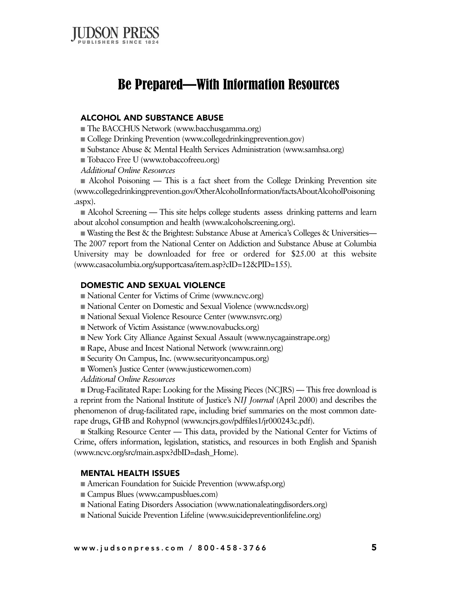

## Be Prepared—With Information Resources

#### **ALCOHOL AND SUBSTANCE ABUSE**

■ The BACCHUS Network (www.bacchusgamma.org)

- College Drinking Prevention (www.collegedrinkingprevention.gov)
- Substance Abuse & Mental Health Services Administration (www.samhsa.org)
- Tobacco Free U (www.tobaccofreeu.org)
- *Additional Online Resources*

■ Alcohol Poisoning — This is a fact sheet from the College Drinking Prevention site (www.collegedrinkingprevention.gov/OtherAlcoholInformation/factsAboutAlcoholPoisoning .aspx).

■ Alcohol Screening — This site helps college students assess drinking patterns and learn about alcohol consumption and health (www.alcoholscreening.org).

■ Wasting the Best & the Brightest: Substance Abuse at America's Colleges & Universities— The 2007 report from the National Center on Addiction and Substance Abuse at Columbia University may be downloaded for free or ordered for \$25.00 at this website (www.casacolumbia.org/supportcasa/item.asp?cID=12&PID=155).

#### **DOMESTIC AND SEXUAL VIOLENCE**

- National Center for Victims of Crime (www.ncvc.org)
- National Center on Domestic and Sexual Violence (www.ncdsv.org)
- National Sexual Violence Resource Center (www.nsvrc.org)
- Network of Victim Assistance (www.novabucks.org)
- New York City Alliance Against Sexual Assault (www.nycagainstrape.org)
- Rape, Abuse and Incest National Network (www.rainn.org)
- Security On Campus, Inc. (www.securityoncampus.org)
- **■** Women's Justice Center (www.justicewomen.com)
- *Additional Online Resources*

**■** Drug-Facilitated Rape: Looking for the Missing Pieces (NCJRS) — This free download is a reprint from the National Institute of Justice's *NIJ Journal* (April 2000) and describes the phenomenon of drug-facilitated rape, including brief summaries on the most common daterape drugs, GHB and Rohypnol (www.ncjrs.gov/pdffiles1/jr000243c.pdf).

■ Stalking Resource Center — This data, provided by the National Center for Victims of Crime, offers information, legislation, statistics, and resources in both English and Spanish (www.ncvc.org/src/main.aspx?dbID=dash\_Home).

#### **MENTAL HEALTH ISSUES**

■ American Foundation for Suicide Prevention (www.afsp.org)

- Campus Blues (www.campusblues.com)
- **■** National Eating Disorders Association (www.nationaleatingdisorders.org)
- National Suicide Prevention Lifeline (www.suicidepreventionlifeline.org)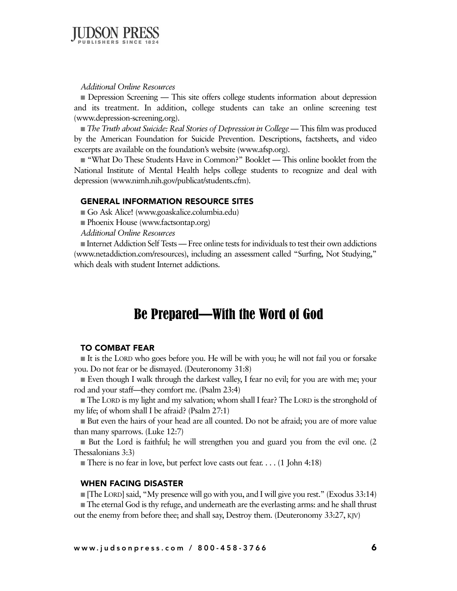

#### *Additional Online Resources*

■ Depression Screening — This site offers college students information about depression and its treatment. In addition, college students can take an online screening test (www.depression-screening.org).

■ *The Truth about Suicide: Real Stories of Depression in College* — This film was produced by the American Foundation for Suicide Prevention. Descriptions, factsheets, and video excerpts are available on the foundation's website (www.afsp.org).

■ "What Do These Students Have in Common?" Booklet — This online booklet from the National Institute of Mental Health helps college students to recognize and deal with depression (www.nimh.nih.gov/publicat/students.cfm).

#### **GENERAL INFORMATION RESOURCE SITES**

■ Go Ask Alice! (www.goaskalice.columbia.edu)

■ Phoenix House (www.factsontap.org)

*Additional Online Resources*

**■** Internet Addiction Self Tests — Free online tests for individuals to test their own addictions (www.netaddiction.com/resources), including an assessment called "Surfing, Not Studying," which deals with student Internet addictions.

### Be Prepared—With the Word of God

#### **TO COMBAT FEAR**

**■** It is the LORD who goes before you. He will be with you; he will not fail you or forsake you. Do not fear or be dismayed. (Deuteronomy 31:8)

■ Even though I walk through the darkest valley, I fear no evil; for you are with me; your rod and your staff—they comfort me. (Psalm 23:4)

**■** The LORD is my light and my salvation; whom shall I fear? The LORD is the stronghold of my life; of whom shall I be afraid? (Psalm 27:1)

■ But even the hairs of your head are all counted. Do not be afraid; you are of more value than many sparrows. (Luke 12:7)

■ But the Lord is faithful; he will strengthen you and guard you from the evil one. (2 Thessalonians 3:3)

■ There is no fear in love, but perfect love casts out fear. . . . (1 John 4:18)

#### **WHEN FACING DISASTER**

**The LORD]** said, "My presence will go with you, and I will give you rest." (Exodus 33:14) ■ The eternal God is thy refuge, and underneath are the everlasting arms: and he shall thrust out the enemy from before thee; and shall say, Destroy them. (Deuteronomy 33:27, KJV)